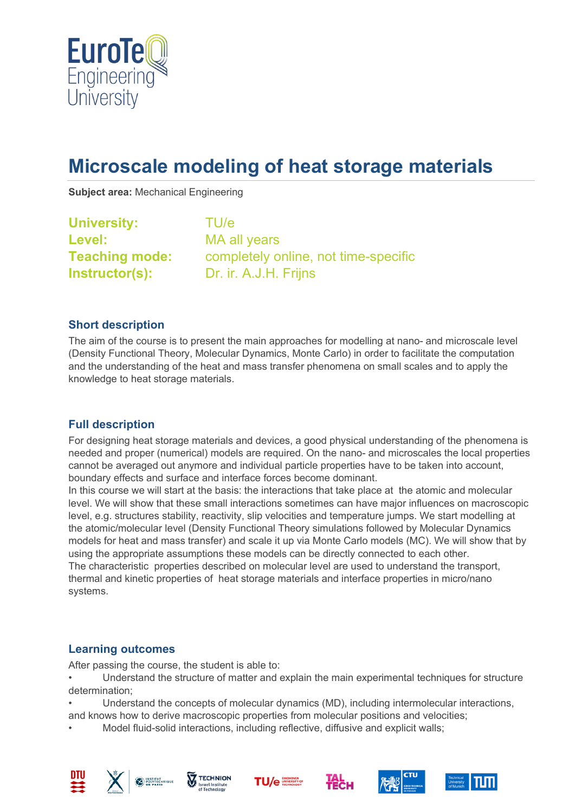

# **Microscale modeling of heat storage materials**

**Subject area:** Mechanical Engineering

| <b>University:</b>    | TU/e                                 |
|-----------------------|--------------------------------------|
| <b>Level:</b>         | MA all years                         |
| <b>Teaching mode:</b> | completely online, not time-specific |
| Instructor(s):        | Dr. ir. A.J.H. Frijns                |

#### **Short description**

The aim of the course is to present the main approaches for modelling at nano- and microscale level (Density Functional Theory, Molecular Dynamics, Monte Carlo) in order to facilitate the computation and the understanding of the heat and mass transfer phenomena on small scales and to apply the knowledge to heat storage materials.

#### **Full description**

For designing heat storage materials and devices, a good physical understanding of the phenomena is needed and proper (numerical) models are required. On the nano- and microscales the local properties cannot be averaged out anymore and individual particle properties have to be taken into account, boundary effects and surface and interface forces become dominant.

In this course we will start at the basis: the interactions that take place at the atomic and molecular level. We will show that these small interactions sometimes can have major influences on macroscopic level, e.g. structures stability, reactivity, slip velocities and temperature jumps. We start modelling at the atomic/molecular level (Density Functional Theory simulations followed by Molecular Dynamics models for heat and mass transfer) and scale it up via Monte Carlo models (MC). We will show that by using the appropriate assumptions these models can be directly connected to each other. The characteristic properties described on molecular level are used to understand the transport, thermal and kinetic properties of heat storage materials and interface properties in micro/nano systems.

#### **Learning outcomes**

After passing the course, the student is able to:

• Understand the structure of matter and explain the main experimental techniques for structure determination;

• Understand the concepts of molecular dynamics (MD), including intermolecular interactions,

and knows how to derive macroscopic properties from molecular positions and velocities;

• Model fluid-solid interactions, including reflective, diffusive and explicit walls;













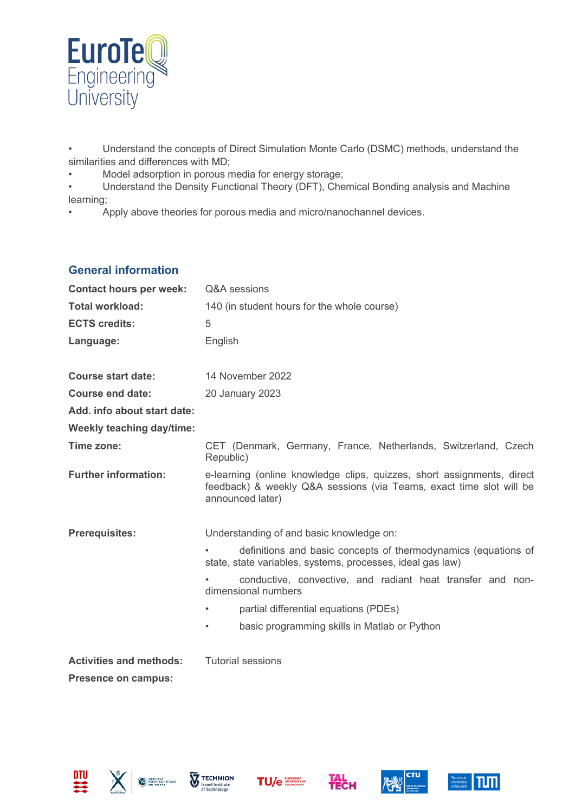

• Understand the concepts of Direct Simulation Monte Carlo (DSMC) methods, understand the similarities and differences with MD;

- Model adsorption in porous media for energy storage;
- Understand the Density Functional Theory (DFT), Chemical Bonding analysis and Machine learning;
- Apply above theories for porous media and micro/nanochannel devices.

## **General information**

| <b>Contact hours per week:</b> | Q&A sessions                                                                                                                                                      |  |
|--------------------------------|-------------------------------------------------------------------------------------------------------------------------------------------------------------------|--|
| <b>Total workload:</b>         | 140 (in student hours for the whole course)                                                                                                                       |  |
| <b>ECTS credits:</b>           | 5                                                                                                                                                                 |  |
| Language:                      | English                                                                                                                                                           |  |
| <b>Course start date:</b>      | 14 November 2022                                                                                                                                                  |  |
| <b>Course end date:</b>        | 20 January 2023                                                                                                                                                   |  |
| Add. info about start date:    |                                                                                                                                                                   |  |
| Weekly teaching day/time:      |                                                                                                                                                                   |  |
| Time zone:                     | CET (Denmark, Germany, France, Netherlands, Switzerland, Czech<br>Republic)                                                                                       |  |
| <b>Further information:</b>    | e-learning (online knowledge clips, quizzes, short assignments, direct<br>feedback) & weekly Q&A sessions (via Teams, exact time slot will be<br>announced later) |  |
| <b>Prerequisites:</b>          | Understanding of and basic knowledge on:                                                                                                                          |  |
|                                | definitions and basic concepts of thermodynamics (equations of<br>state, state variables, systems, processes, ideal gas law)                                      |  |
|                                | conductive, convective, and radiant heat transfer and non-<br>dimensional numbers                                                                                 |  |
|                                | partial differential equations (PDEs)                                                                                                                             |  |
|                                | basic programming skills in Matlab or Python<br>$\bullet$                                                                                                         |  |
| <b>Activities and methods:</b> | <b>Tutorial sessions</b>                                                                                                                                          |  |
| <b>Presence on campus:</b>     |                                                                                                                                                                   |  |